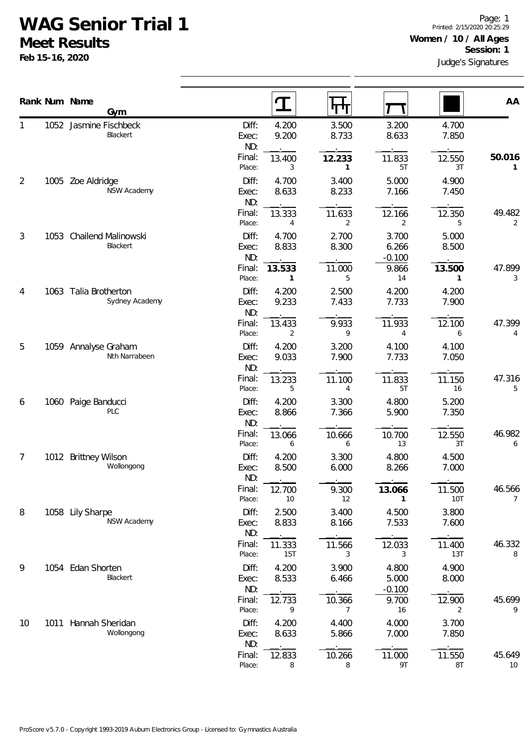## **WAG Senior Trial 1**

**Meet Results**

**Feb 15-16, 2020**

|                |      | Rank Num Name<br>Gym                    |                                 | $\mathbf T$              | पग                       |                                     |                          | AA           |
|----------------|------|-----------------------------------------|---------------------------------|--------------------------|--------------------------|-------------------------------------|--------------------------|--------------|
|                |      | 1052 Jasmine Fischbeck<br>Blackert      | Diff:<br>Exec:<br>ND:           | 4.200<br>9.200           | 3.500<br>8.733           | 3.200<br>8.633                      | 4.700<br>7.850           |              |
|                |      |                                         | Final:<br>Place:                | 13.400<br>3              | 12.233<br>1              | 11.833<br>5T                        | 12.550<br>3T             | 50.016<br>1  |
| 2              |      | 1005 Zoe Aldridge<br>NSW Academy        | Diff:<br>Exec:<br>ND:           | 4.700<br>8.633           | 3.400<br>8.233           | 5.000<br>7.166                      | 4.900<br>7.450           |              |
|                |      |                                         | Final:<br>Place:                | 13.333<br>4              | 11.633<br>$\overline{2}$ | 12.166<br>$\overline{2}$            | 12.350<br>5              | 49.482<br>2  |
| $\mathfrak{Z}$ |      | 1053 Chailend Malinowski<br>Blackert    | Diff:<br>Exec:<br>ND:           | 4.700<br>8.833           | 2.700<br>8.300           | 3.700<br>6.266<br>$-0.100$          | 5.000<br>8.500           |              |
|                |      |                                         | Final:<br>Place:                | 13.533<br>$\mathbf{1}$   | 11.000<br>5              | 9.866<br>14                         | 13.500<br>$\mathbf{1}$   | 47.899<br>3  |
| 4              |      | 1063 Talia Brotherton<br>Sydney Academy | Diff:<br>Exec:<br>ND:           | 4.200<br>9.233           | 2.500<br>7.433           | 4.200<br>7.733                      | 4.200<br>7.900           |              |
|                |      |                                         | Final:<br>Place:                | 13.433<br>2              | 9.933<br>9               | 11.933<br>4                         | 12.100<br>6              | 47.399<br>4  |
| 5              |      | 1059 Annalyse Graham<br>Nth Narrabeen   | Diff:<br>Exec:<br>ND:           | 4.200<br>9.033           | 3.200<br>7.900           | 4.100<br>7.733                      | 4.100<br>7.050           |              |
|                |      |                                         | Final:<br>Place:                | 13.233<br>5              | 11.100<br>4              | 11.833<br>5T                        | 11.150<br>16             | 47.316<br>5  |
| 6              |      | 1060 Paige Banducci<br>PLC              | Diff:<br>Exec:<br>ND:           | 4.200<br>8.866           | 3.300<br>7.366           | 4.800<br>5.900                      | 5.200<br>7.350           |              |
|                |      |                                         | Final:<br>Place:                | 13.066<br>6              | 10.666<br>6              | 10.700<br>13                        | 12.550<br>3T             | 46.982<br>6  |
| 7              |      | 1012 Brittney Wilson<br>Wollongong      | Diff:<br>Exec:<br>ND:           | 4.200<br>8.500           | 3.300<br>6.000           | 4.800<br>8.266                      | 4.500<br>7.000           |              |
|                |      |                                         | Final:<br>Place:                | 12.700<br>10             | 9.300<br>12              | 13.066<br>1                         | 11.500<br><b>10T</b>     | 46.566<br>7  |
| 8              |      | 1058 Lily Sharpe<br><b>NSW Academy</b>  | Diff:<br>Exec:<br>ND:           | 2.500<br>8.833           | 3.400<br>8.166           | 4.500<br>7.533                      | 3.800<br>7.600           |              |
|                |      |                                         | Final:<br>Place:                | 11.333<br><b>15T</b>     | 11.566<br>3              | 12.033<br>3                         | 11.400<br>13T            | 46.332<br>8  |
| 9              |      | 1054 Edan Shorten<br>Blackert           | Diff:<br>Exec:<br>ND:<br>Final: | 4.200<br>8.533<br>12.733 | 3.900<br>6.466<br>10.366 | 4.800<br>5.000<br>$-0.100$<br>9.700 | 4.900<br>8.000<br>12.900 | 45.699       |
|                |      |                                         | Place:                          | 9                        | $\overline{7}$           | 16                                  | 2                        | 9            |
| 10             | 1011 | Hannah Sheridan<br>Wollongong           | Diff:<br>Exec:<br>ND:           | 4.200<br>8.633           | 4.400<br>5.866           | 4.000<br>7.000                      | 3.700<br>7.850           |              |
|                |      |                                         | Final:<br>Place:                | 12.833<br>8              | 10.266<br>8              | 11.000<br>9T                        | 11.550<br>$8\mathsf{T}$  | 45.649<br>10 |